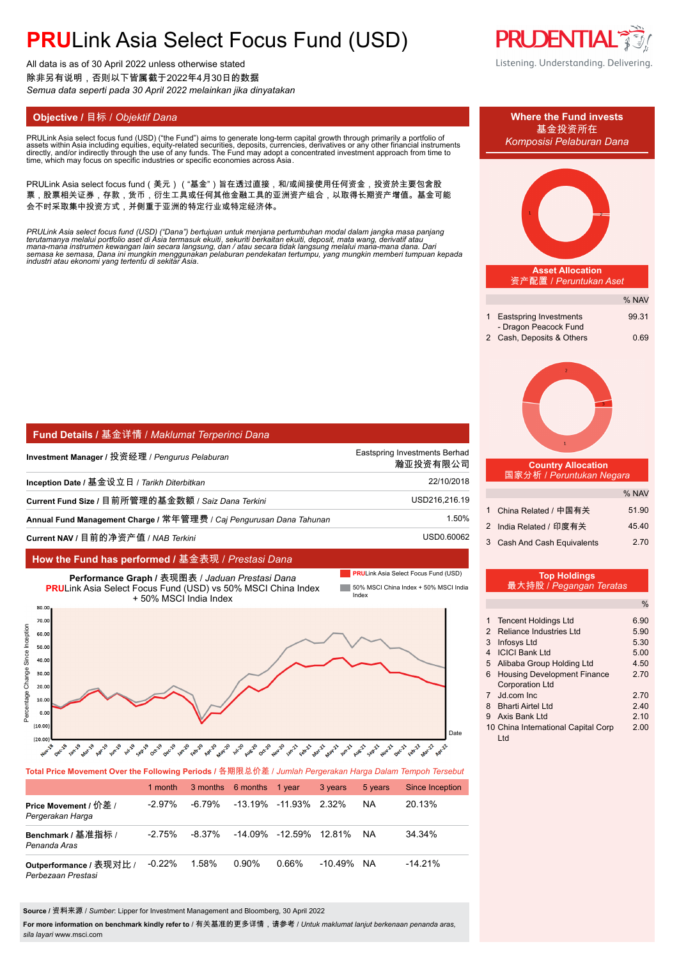All data is as of 30 April 2022 unless otherwise stated 除非另有说明,否则以下皆属截于2022年4月30日的数据 *Semua data seperti pada 30 April 2022 melainkan jika dinyatakan*

PRULink Asia select focus fund (USD) ("the Fund") aims to generate long-term capital growth through primarily a portfolio of<br>assets within Asia including equities, equity-related securities, deposits, currencies, derivativ assets within Asia including equities, equity-related securities, deposits, currencies, derivatives or any other financial instruments<br>directly, and/or indirectly through the use of any funds. The Fund may adopt a concentr

PRULink Asia select focus fund(美元)("基金")旨在透过直接,和/或间接使用任何资金,投资於主要包含股 票,股票相关证券,存款,货币,衍生工具或任何其他金融工具的亚洲资产组合,以取得长期资产增值。基金可能 会不时采取集中投资方式,并侧重于亚洲的特定行业或特定经济体。

PRULink Asia select focus fund (USD) ("Dana") bertujuan untuk menjana pertumbuhan modal dalam jangka masa panjang<br>terutamanya melalui portfolio aset di Asia termasuk ekuiti, sekuriti berkaitan ekuiti, deposit, mata wang, d

| Fund Details / 基金详情 / Maklumat Terperinci Dana                      |                                           |
|---------------------------------------------------------------------|-------------------------------------------|
| Investment Manager / 投资经理 / <i>Penqurus Pelaburan</i>               | Eastspring Investments Berhad<br>瀚亚投资有限公司 |
| Inception Date / 基金设立日 / Tarikh Diterbitkan                         | 22/10/2018                                |
| Current Fund Size / 目前所管理的基金数额 / Saiz Dana Terkini                  | USD216.216.19                             |
| Annual Fund Management Charge / 常年管理费 / Caj Pengurusan Dana Tahunan | 1.50%                                     |
| Current NAV / 目前的净资产值 / NAB Terkini                                 | USD0.60062                                |

### **How the Fund has performed /** 基金表现 / *Prestasi Dana*



### **Total Price Movement Over the Following Periods /** 各期限总价差 / *Jumlah Pergerakan Harga Dalam Tempoh Tersebut*

|                                               | 1 month   |        | 3 months 6 months 1 year |                              | 3 years    | 5 years | <b>Since Inception</b> |
|-----------------------------------------------|-----------|--------|--------------------------|------------------------------|------------|---------|------------------------|
| Price Movement / 价差 /<br>Pergerakan Harga     | $-2.97\%$ | -6.79% |                          | $-13.19\% -11.93\%$ 2.32%    |            | NA.     | 20.13%                 |
| Benchmark / 基准指标 /<br>Penanda Aras            | $-2.75\%$ | -8.37% |                          | $-14.09\%$ $-12.59\%$ 12.81% |            | NA.     | 34.34%                 |
| Outperformance / 表现对比 /<br>Perbezaan Prestasi | $-0.22\%$ | 1.58%  | 0.90%                    | 0.66%                        | $-10.49\%$ | NA.     | $-14.21\%$             |

**Source /** 资料来源 / *Sumber*: Lipper for Investment Management and Bloomberg, 30 April 2022

**For more information on benchmark kindly refer to** / 有关基准的更多详情,请参考 / *Untuk maklumat lanjut berkenaan penanda aras, sila layari* www.msci.com



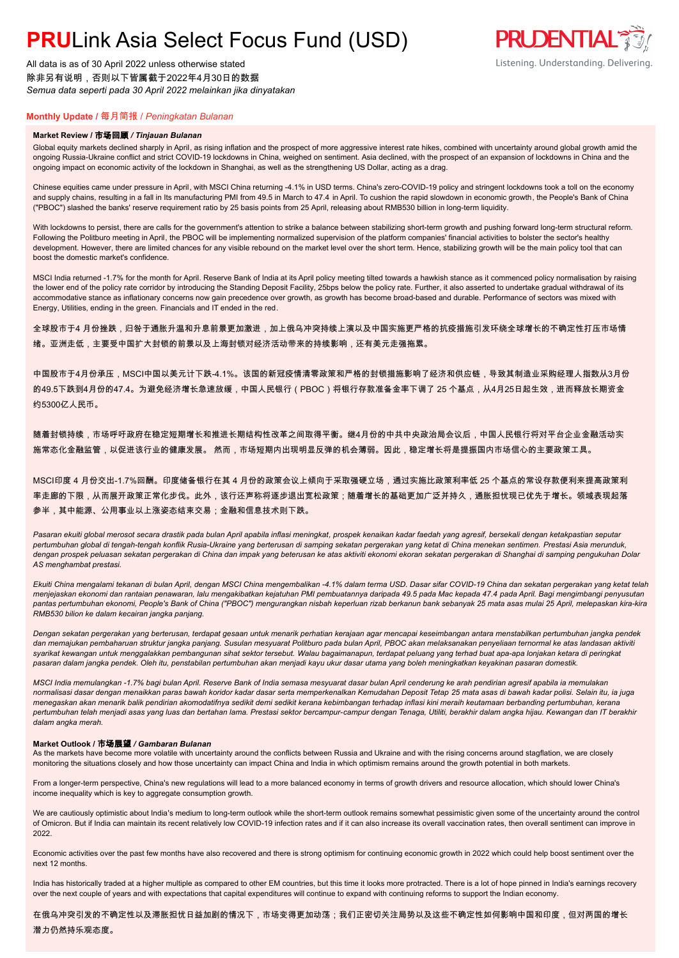All data is as of 30 April 2022 unless otherwise stated 除非另有说明,否则以下皆属截于2022年4月30日的数据 *Semua data seperti pada 30 April 2022 melainkan jika dinyatakan*

### **Monthly Update /** 每月简报 / *Peningkatan Bulanan*

#### **Market Review /** 市场回顾 */ Tinjauan Bulanan*

Global equity markets declined sharply in April, as rising inflation and the prospect of more aggressive interest rate hikes, combined with uncertainty around global growth amid the ongoing Russia-Ukraine conflict and strict COVID-19 lockdowns in China, weighed on sentiment. Asia declined, with the prospect of an expansion of lockdowns in China and the ongoing impact on economic activity of the lockdown in Shanghai, as well as the strengthening US Dollar, acting as a drag.

Chinese equities came under pressure in April, with MSCI China returning -4.1% in USD terms. China's zero-COVID-19 policy and stringent lockdowns took a toll on the economy and supply chains, resulting in a fall in Its manufacturing PMI from 49.5 in March to 47.4 in April. To cushion the rapid slowdown in economic growth, the People's Bank of China ("PBOC") slashed the banks' reserve requirement ratio by 25 basis points from 25 April, releasing about RMB530 billion in long-term liquidity.

With lockdowns to persist, there are calls for the government's attention to strike a balance between stabilizing short-term growth and pushing forward long-term structural reform. Following the Politburo meeting in April, the PBOC will be implementing normalized supervision of the platform companies' financial activities to bolster the sector's healthy development. However, there are limited chances for any visible rebound on the market level over the short term. Hence, stabilizing growth will be the main policy tool that can boost the domestic market's confidence.

MSCI India returned -1.7% for the month for April. Reserve Bank of India at its April policy meeting tilted towards a hawkish stance as it commenced policy normalisation by raising the lower end of the policy rate corridor by introducing the Standing Deposit Facility, 25bps below the policy rate. Further, it also asserted to undertake gradual withdrawal of its accommodative stance as inflationary concerns now gain precedence over growth, as growth has become broad-based and durable. Performance of sectors was mixed with Energy, Utilities, ending in the green. Financials and IT ended in the red.

全球股市于4 月份挫跌,归咎于通胀升温和升息前景更加激进,加上俄乌冲突持续上演以及中国实施更严格的抗疫措施引发环绕全球增长的不确定性打压市场情 绪。亚洲走低,主要受中国扩大封锁的前景以及上海封锁对经济活动带来的持续影响,还有美元走强拖累。

中国股市于4月份承压,MSCI中国以美元计下跌-4.1%。该国的新冠疫情清零政策和严格的封锁措施影响了经济和供应链,导致其制造业采购经理人指数从3月份 的49.5下跌到4月份的47.4。为避免经济增长急速放缓,中国人民银行(PBOC)将银行存款准备金率下调了 25 个基点,从4月25日起生效,进而释放长期资金 约5300亿人民币。

随着封锁持续,市场呼吁政府在稳定短期增长和推进长期结构性改革之间取得平衡。继4月份的中共中央政治局会议后,中国人民银行将对平台企业金融活动实 施常态化金融监管,以促进该行业的健康发展。 然而,市场短期内出现明显反弹的机会薄弱。因此,稳定增长将是提振国内市场信心的主要政策工具。

MSCI印度 4 月份交出-1.7%回酬。印度储备银行在其 4 月份的政策会议上倾向干采取强硬立场,通过实施比政策利率低 25 个基点的常设存款便利来提高政策利 率走廊的下限,从而展开政策正常化步伐。此外,该行还声称将逐步退出宽松政策;随着增长的基础更加广泛并持久,通胀担忧现已优先于增长。领域表现起落 参半,其中能源、公用事业以上涨姿态结束交易;金融和信息技术则下跌。

Pasaran ekuiti global merosot secara drastik pada bulan April apabila inflasi meningkat, prospek kenaikan kadar faedah yang agresif, bersekali dengan ketakpastian seputar *pertumbuhan global di tengah-tengah konflik Rusia-Ukraine yang berterusan di samping sekatan pergerakan yang ketat di China menekan sentimen. Prestasi Asia merunduk, dengan prospek peluasan sekatan pergerakan di China dan impak yang beterusan ke atas aktiviti ekonomi ekoran sekatan pergerakan di Shanghai di samping pengukuhan Dolar AS menghambat prestasi.*

*Ekuiti China mengalami tekanan di bulan April, dengan MSCI China mengembalikan -4.1% dalam terma USD. Dasar sifar COVID-19 China dan sekatan pergerakan yang ketat telah menjejaskan ekonomi dan rantaian penawaran, lalu mengakibatkan kejatuhan PMI pembuatannya daripada 49.5 pada Mac kepada 47.4 pada April. Bagi mengimbangi penyusutan pantas pertumbuhan ekonomi, People's Bank of China ("PBOC") mengurangkan nisbah keperluan rizab berkanun bank sebanyak 25 mata asas mulai 25 April, melepaskan kira-kira RMB530 bilion ke dalam kecairan jangka panjang.*

*Dengan sekatan pergerakan yang berterusan, terdapat gesaan untuk menarik perhatian kerajaan agar mencapai keseimbangan antara menstabilkan pertumbuhan jangka pendek dan memajukan pembaharuan struktur jangka panjang. Susulan mesyuarat Politburo pada bulan April, PBOC akan melaksanakan penyeliaan ternormal ke atas landasan aktiviti syarikat kewangan untuk menggalakkan pembangunan sihat sektor tersebut. Walau bagaimanapun, terdapat peluang yang terhad buat apa-apa lonjakan ketara di peringkat pasaran dalam jangka pendek. Oleh itu, penstabilan pertumbuhan akan menjadi kayu ukur dasar utama yang boleh meningkatkan keyakinan pasaran domestik.*

*MSCI India memulangkan -1.7% bagi bulan April. Reserve Bank of India semasa mesyuarat dasar bulan April cenderung ke arah pendirian agresif apabila ia memulakan normalisasi dasar dengan menaikkan paras bawah koridor kadar dasar serta memperkenalkan Kemudahan Deposit Tetap 25 mata asas di bawah kadar polisi. Selain itu, ia juga menegaskan akan menarik balik pendirian akomodatifnya sedikit demi sedikit kerana kebimbangan terhadap inflasi kini meraih keutamaan berbanding pertumbuhan, kerana pertumbuhan telah menjadi asas yang luas dan bertahan lama. Prestasi sektor bercampur-campur dengan Tenaga, Utiliti, berakhir dalam angka hijau. Kewangan dan IT berakhir dalam angka merah.*

#### **Market Outlook /** 市场展望 */ Gambaran Bulanan*

As the markets have become more volatile with uncertainty around the conflicts between Russia and Ukraine and with the rising concerns around stagflation, we are closely monitoring the situations closely and how those uncertainty can impact China and India in which optimism remains around the growth potential in both markets.

From a longer-term perspective, China's new regulations will lead to a more balanced economy in terms of growth drivers and resource allocation, which should lower China's income inequality which is key to aggregate consumption growth.

We are cautiously optimistic about India's medium to long-term outlook while the short-term outlook remains somewhat pessimistic given some of the uncertainty around the control of Omicron. But if India can maintain its recent relatively low COVID-19 infection rates and if it can also increase its overall vaccination rates, then overall sentiment can improve in 2022.

Economic activities over the past few months have also recovered and there is strong optimism for continuing economic growth in 2022 which could help boost sentiment over the next 12 months.

India has historically traded at a higher multiple as compared to other EM countries, but this time it looks more protracted. There is a lot of hope pinned in India's earnings recovery over the next couple of years and with expectations that capital expenditures will continue to expand with continuing reforms to support the Indian economy.

在俄乌冲突引发的不确定性以及滞胀担忧日益加剧的情况下,市场变得更加动荡;我们正密切关注局势以及这些不确定性如何影响中国和印度,但对两国的增长 潜力仍然持乐观态度。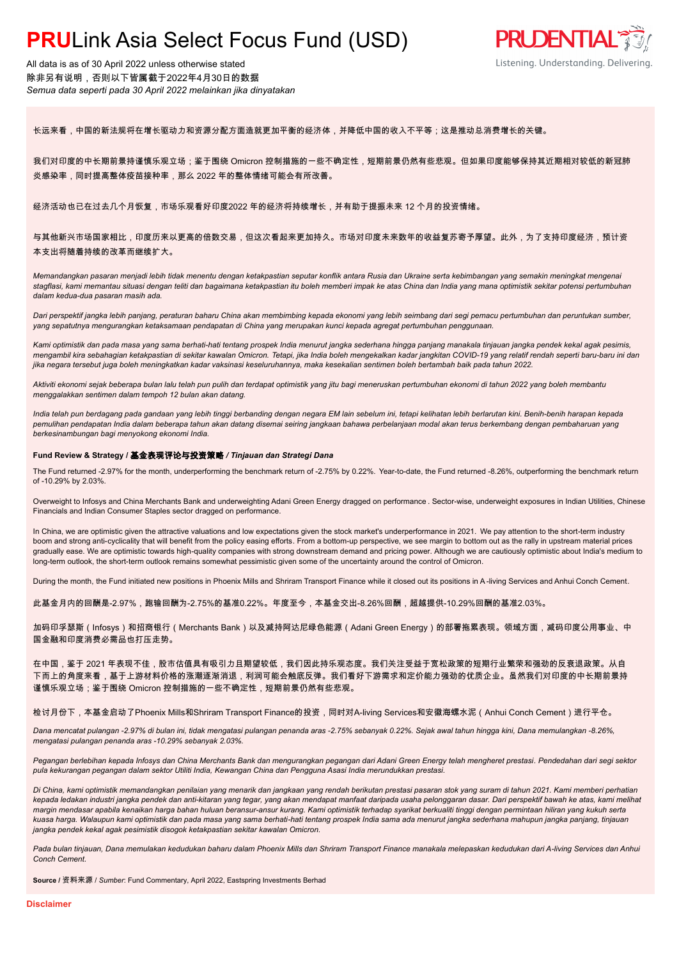All data is as of 30 April 2022 unless otherwise stated 除非另有说明,否则以下皆属截于2022年4月30日的数据 *Semua data seperti pada 30 April 2022 melainkan jika dinyatakan*



长远来看,中国的新法规将在增长驱动力和资源分配方面造就更加平衡的经济体,并降低中国的收入不平等;这是推动总消费增长的关键。

我们对印度的中长期前景持谨慎乐观立场;鉴于围绕 Omicron 控制措施的一些不确定性,短期前景仍然有些悲观。但如果印度能够保持其近期相对较低的新冠肺 炎感染率,同时提高整体疫苗接种率,那么 2022 年的整体情绪可能会有所改善。

经济活动也已在过去几个月恢复,市场乐观看好印度2022 年的经济将持续增长,并有助于提振未来 12 个月的投资情绪。

与其他新兴市场国家相比,印度历来以更高的倍数交易,但这次看起来更加持久。市场对印度未来数年的收益复苏寄予厚望。此外,为了支持印度经济,预计资 本支出将随着持续的改革而继续扩大。

*Memandangkan pasaran menjadi lebih tidak menentu dengan ketakpastian seputar konflik antara Rusia dan Ukraine serta kebimbangan yang semakin meningkat mengenai stagflasi, kami memantau situasi dengan teliti dan bagaimana ketakpastian itu boleh memberi impak ke atas China dan India yang mana optimistik sekitar potensi pertumbuhan dalam kedua-dua pasaran masih ada.*

*Dari perspektif jangka lebih panjang, peraturan baharu China akan membimbing kepada ekonomi yang lebih seimbang dari segi pemacu pertumbuhan dan peruntukan sumber, yang sepatutnya mengurangkan ketaksamaan pendapatan di China yang merupakan kunci kepada agregat pertumbuhan penggunaan.*

*Kami optimistik dan pada masa yang sama berhati-hati tentang prospek India menurut jangka sederhana hingga panjang manakala tinjauan jangka pendek kekal agak pesimis, mengambil kira sebahagian ketakpastian di sekitar kawalan Omicron. Tetapi, jika India boleh mengekalkan kadar jangkitan COVID-19 yang relatif rendah seperti baru-baru ini dan jika negara tersebut juga boleh meningkatkan kadar vaksinasi keseluruhannya, maka kesekalian sentimen boleh bertambah baik pada tahun 2022.*

*Aktiviti ekonomi sejak beberapa bulan lalu telah pun pulih dan terdapat optimistik yang jitu bagi meneruskan pertumbuhan ekonomi di tahun 2022 yang boleh membantu menggalakkan sentimen dalam tempoh 12 bulan akan datang.*

*India telah pun berdagang pada gandaan yang lebih tinggi berbanding dengan negara EM lain sebelum ini, tetapi kelihatan lebih berlarutan kini. Benih-benih harapan kepada pemulihan pendapatan India dalam beberapa tahun akan datang disemai seiring jangkaan bahawa perbelanjaan modal akan terus berkembang dengan pembaharuan yang berkesinambungan bagi menyokong ekonomi India.*

#### **Fund Review & Strategy /** 基金表现评论与投资策略 */ Tinjauan dan Strategi Dana*

The Fund returned -2.97% for the month, underperforming the benchmark return of -2.75% by 0.22%. Year-to-date, the Fund returned -8.26%, outperforming the benchmark return of -10.29% by 2.03%.

Overweight to Infosys and China Merchants Bank and underweighting Adani Green Energy dragged on performance . Sector-wise, underweight exposures in Indian Utilities, Chinese Financials and Indian Consumer Staples sector dragged on performance.

In China, we are optimistic given the attractive valuations and low expectations given the stock market's underperformance in 2021. We pay attention to the short-term industry boom and strong anti-cyclicality that will benefit from the policy easing efforts. From a bottom-up perspective, we see margin to bottom out as the rally in upstream material prices gradually ease. We are optimistic towards high-quality companies with strong downstream demand and pricing power. Although we are cautiously optimistic about India's medium to long-term outlook, the short-term outlook remains somewhat pessimistic given some of the uncertainty around the control of Omicron.

During the month, the Fund initiated new positions in Phoenix Mills and Shriram Transport Finance while it closed out its positions in A-living Services and Anhui Conch Cement.

此基金月内的回酬是-2.97%,跑输回酬为-2.75%的基准0.22%。年度至今,本基金交出-8.26%回酬,超越提供-10.29%回酬的基准2.03%。

加码印孚瑟斯(Infosys)和招商银行(Merchants Bank)以及减持阿达尼绿色能源(Adani Green Energy)的部署拖累表现。领域方面,减码印度公用事业、中 国金融和印度消费必需品也打压走势。

在中国,鉴于 2021 年表现不佳,股市估值具有吸引力且期望较低,我们因此持乐观态度。我们关注受益于宽松政策的短期行业繁荣和强劲的反衰退政策。从自 下而上的角度来看,基于上游材料价格的涨潮逐渐消退,利润可能会触底反弹。我们看好下游需求和定价能力强劲的优质企业。虽然我们对印度的中长期前景持 谨慎乐观立场;鉴于围绕 Omicron 控制措施的一些不确定性,短期前景仍然有些悲观。

检讨月份下,本基金启动了Phoenix Mills和Shriram Transport Finance的投资,同时对A-living Services和安徽海螺水泥(Anhui Conch Cement)进行平仓。

*Dana mencatat pulangan -2.97% di bulan ini, tidak mengatasi pulangan penanda aras -2.75% sebanyak 0.22%. Sejak awal tahun hingga kini, Dana memulangkan -8.26%, mengatasi pulangan penanda aras -10.29% sebanyak 2.03%.*

*Pegangan berlebihan kepada Infosys dan China Merchants Bank dan mengurangkan pegangan dari Adani Green Energy telah mengheret prestasi. Pendedahan dari segi sektor pula kekurangan pegangan dalam sektor Utiliti India, Kewangan China dan Pengguna Asasi India merundukkan prestasi.*

*Di China, kami optimistik memandangkan penilaian yang menarik dan jangkaan yang rendah berikutan prestasi pasaran stok yang suram di tahun 2021. Kami memberi perhatian kepada ledakan industri jangka pendek dan anti-kitaran yang tegar, yang akan mendapat manfaat daripada usaha pelonggaran dasar. Dari perspektif bawah ke atas, kami melihat margin mendasar apabila kenaikan harga bahan huluan beransur-ansur kurang. Kami optimistik terhadap syarikat berkualiti tinggi dengan permintaan hiliran yang kukuh serta kuasa harga. Walaupun kami optimistik dan pada masa yang sama berhati-hati tentang prospek India sama ada menurut jangka sederhana mahupun jangka panjang, tinjauan jangka pendek kekal agak pesimistik disogok ketakpastian sekitar kawalan Omicron.*

Pada bulan tinjauan, Dana memulakan kedudukan baharu dalam Phoenix Mills dan Shriram Transport Finance manakala melepaskan kedudukan dari A-living Services dan Anhui *Conch Cement.*

**Source /** 资料来源 / *Sumber*: Fund Commentary, April 2022, Eastspring Investments Berhad